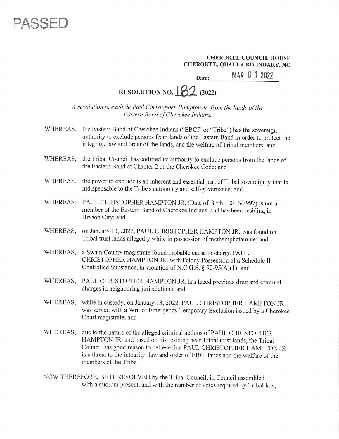## PASSED

## CHEROKEE COUNCIL HOUSE CHEROKEE, QUALLA BOUNDARY, NC EREROKEE<br>EE, QUALLA<br>MAR

Date: MAR 0 1 2022

## RESOLUTION NO.  $82$  (2022)

A resolution to exclude Paul Christopher Hampton Jr. from the lands of the Eastern Band of Cherokee Indians.

- WHEREAS, the Eastern Band of Cherokee Indians ("EBCI" or "Tribe") has the sovereign authority to exclude persons from lands of the Eastern Band in order to protect the integrity, law and order of the lands, and the welfare of Tribal members; and
- WHEREAS, the Tribal Council has codified its authority to exclude persons from the lands of the Eastern Band at Chapter 2 of the Cherokee Code; and
- WHEREAS, the power to exclude is an inherent and essential part of Tribal sovereignty that is indispensable to the Tribe's autonomy and self-governance; and
- WHEREAS, PAUL CHRISTOPHER HAMPTON JR. (Date of Birth: 10/16/1997) is not a member of the Eastern Band of Cherokee Indians, and has been residing in member of the Eastern Band of Cherokee Indians, and has been residing in Bryson City; and
- WHEREAS, on January 13, 2022, PAUL CHRISTOPHER HAMPTON JR. was found on Tribal trust lands allegedly while in possession of methamphetamine; and
- WHEREAS, a Swain County magistrate found probable cause to charge PAUL CHRISTOPHER HAMPTON JR. with Felony Possession of a Schedule II Controlled Substance, in violation of N.C.G.S. § 90-95(A)(1); and
- WHEREAS, PAUL CHRISTOPHER HAMPTON JR. has faced previous drug and criminal charges in neighboring jurisdictions; and
- WHEREAS, while in custody, on January 13, 2022, PAUL CHRISTOPHER HAMPTON JR. was served with a Writ of Emergency Temporary Exclusion issued by a Cherokee Court magistrate; and
- WHEREAS, due to the nature of the alleged criminal actions of PAUL CHRISTOPHER HAMPTON JR. and based on his residing near Tribal trust lands, the Tribal Council has good reason to believe that PAUL CHRISTOPHER HAMPTON JR. is a threat to the integrity, law and order of EBCI lands and the welfare of the members of the Tribe.
- NOW THEREFORE, BE IT RESOLVED by the Tribal Council, in Council assembled with a quorum present, and with the number of votes required by Tribal law,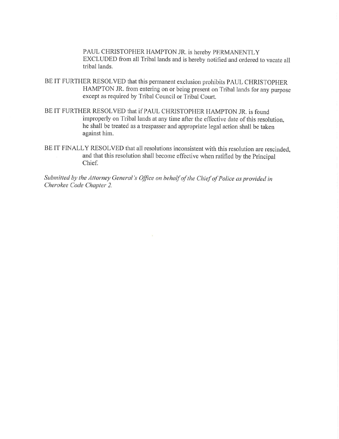PAUL CHRISTOPHER HAMPTON JR. is hereby PERMANENTLY EXCLUDED from all Tribal lands and is hereby notified and ordered to vacate all tribal lands,

- BEIT FURTHER RESOLVED that this permanent exclusion prohibits PAUL CHRISTOPHER HAMPTON JR. from entering on or being present on Tribal lands for any purpose except as required by Tribal Council or Tribal Court.
- BE IT FURTHER RESOLVED that if PAUL CHRISTOPHER HAMPTON JR. is found improperly on Tribal lands at any time after the effective date of this resolution, he shall be treated as a trespasser and appropriate legal action shall be taken against him.
- BE IT FINALLY RESOLVED that all resolutions inconsistent with this resolution are rescinded, and that this resolution shall become effective when ratified by the Principal Chief,

Submitted by the Attorney General's Office on behalf of the Chief of Police as provided in Cherokee Code Chapter 2.

 $\bar{ }$